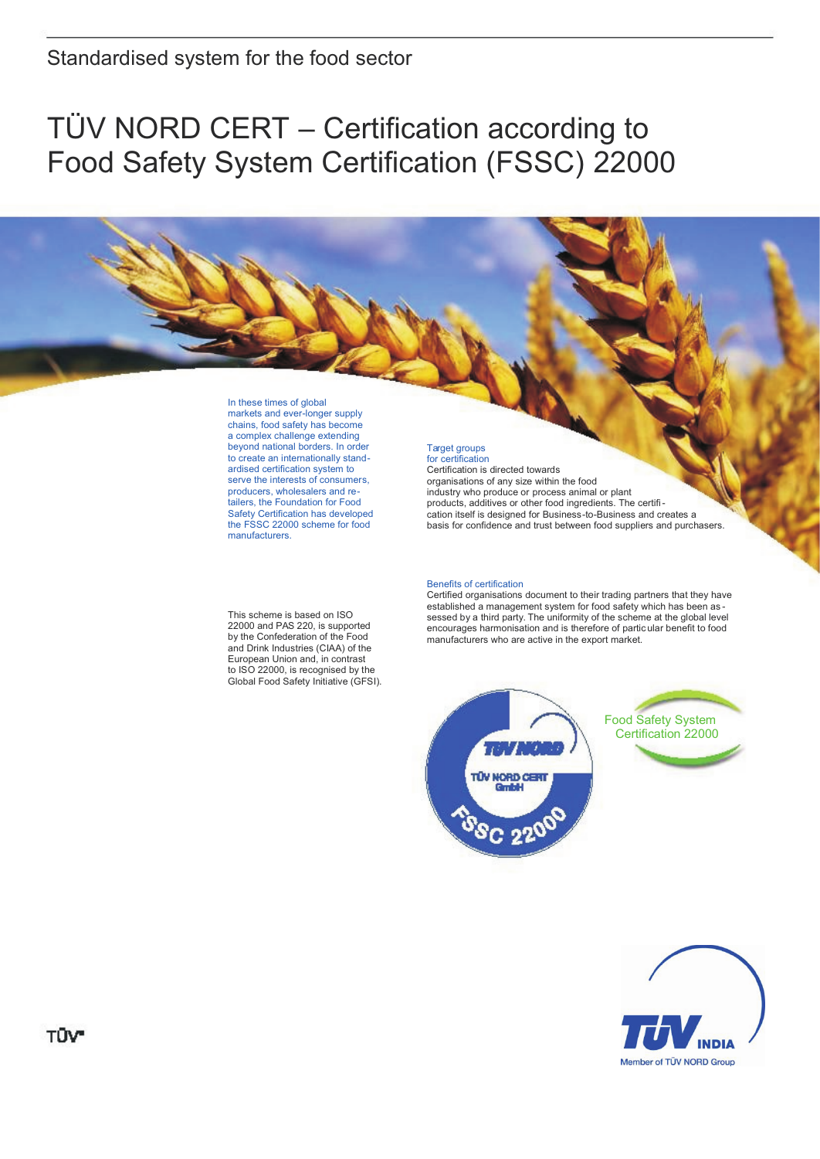# TÜV NORD CERT – Certification according to Food Safety System Certification (FSSC) 22000

# In these times of global

markets and ever-longer supply chains, food safety has become a complex challenge extending beyond national borders. In order to create an internationally standardised certification system to serve the interests of consumers, producers, wholesalers and retailers, the Foundation for Food Safety Certification has developed the FSSC 22000 scheme for food manufacturers.

#### Target groups for certification

Certification is directed towards organisations of any size within the food industry who produce or process animal or plant products, additives or other food ingredients. The certification itself is designed for Business-to-Business and creates a basis for confidence and trust between food suppliers and purchasers.

### Benefits of certification

Certified organisations document to their trading partners that they have established a management system for food safety which has been as sessed by a third party. The uniformity of the scheme at the global level encourages harmonisation and is therefore of partic ular benefit to food manufacturers who are active in the export market.





This scheme is based on ISO 22000 and PAS 220, is supported by the Confederation of the Food and Drink Industries (CIAA) of the European Union and, in contrast to ISO 22000, is recognised by the Global Food Safety Initiative (GFSI).